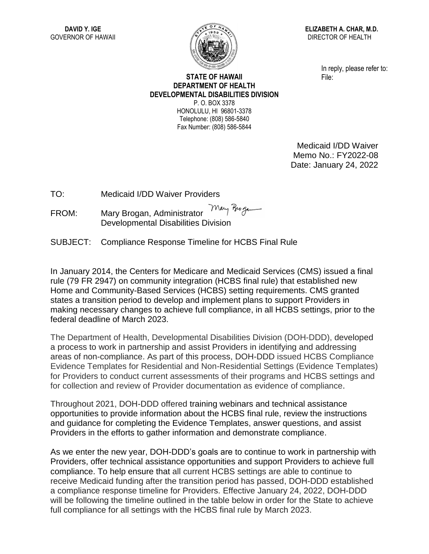

**ELIZABETH A. CHAR, M.D.** DIRECTOR OF HEALTH

> In reply, please refer to: File:

## **STATE OF HAWAII DEPARTMENT OF HEALTH DEVELOPMENTAL DISABILITIES DIVISION** P. O. BOX 3378 HONOLULU, HI 96801-3378

Telephone: (808) 586-5840 Fax Number: (808) 586-5844

> Medicaid I/DD Waiver Memo No.: FY2022-08 Date: January 24, 2022

TO: Medicaid I/DD Waiver Providers

Mary Brogan FROM: Mary Brogan, Administrator Developmental Disabilities Division

SUBJECT: Compliance Response Timeline for HCBS Final Rule

In January 2014, the Centers for Medicare and Medicaid Services (CMS) issued a final rule (79 FR 2947) on community integration (HCBS final rule) that established new Home and Community-Based Services (HCBS) setting requirements. CMS granted states a transition period to develop and implement plans to support Providers in making necessary changes to achieve full compliance, in all HCBS settings, prior to the federal deadline of March 2023.

The Department of Health, Developmental Disabilities Division (DOH-DDD), developed a process to work in partnership and assist Providers in identifying and addressing areas of non-compliance. As part of this process, DOH-DDD issued HCBS Compliance Evidence Templates for Residential and Non-Residential Settings (Evidence Templates) for Providers to conduct current assessments of their programs and HCBS settings and for collection and review of Provider documentation as evidence of compliance.

Throughout 2021, DOH-DDD offered training webinars and technical assistance opportunities to provide information about the HCBS final rule, review the instructions and guidance for completing the Evidence Templates, answer questions, and assist Providers in the efforts to gather information and demonstrate compliance.

As we enter the new year, DOH-DDD's goals are to continue to work in partnership with Providers, offer technical assistance opportunities and support Providers to achieve full compliance. To help ensure that all current HCBS settings are able to continue to receive Medicaid funding after the transition period has passed, DOH-DDD established a compliance response timeline for Providers. Effective January 24, 2022, DOH-DDD will be following the timeline outlined in the table below in order for the State to achieve full compliance for all settings with the HCBS final rule by March 2023.